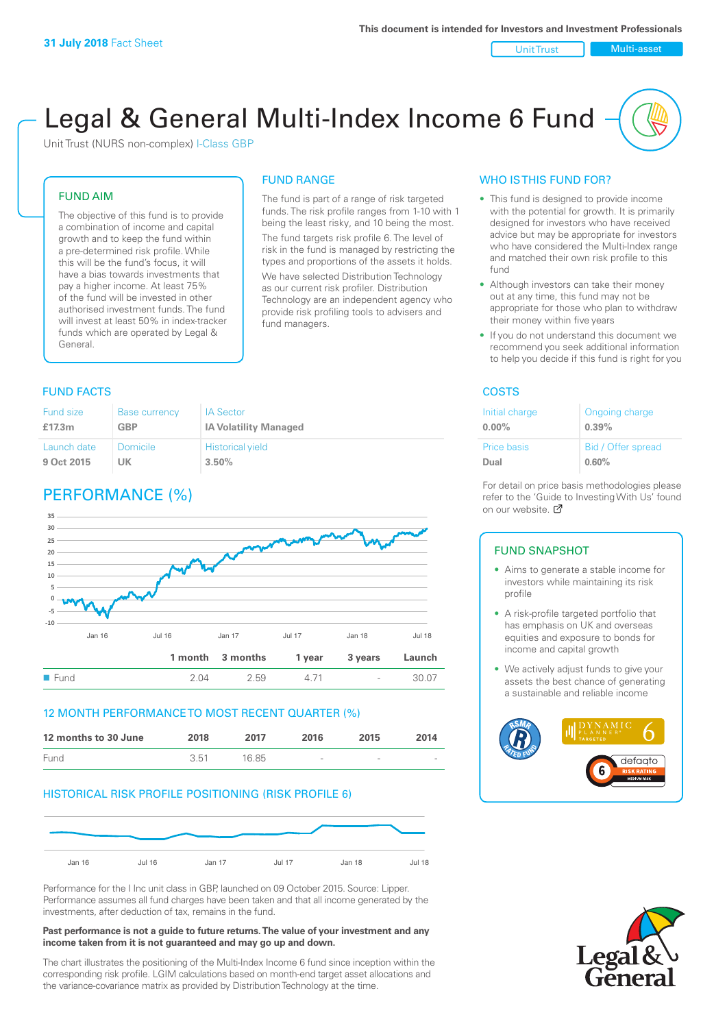Unit Trust Nulti-asset

# Legal & General Multi-Index Income 6 Fund

Unit Trust (NURS non-complex) I-Class GBP

#### FUND AIM

The objective of this fund is to provide a combination of income and capital growth and to keep the fund within a pre-determined risk profile. While this will be the fund's focus, it will have a bias towards investments that pay a higher income. At least 75% of the fund will be invested in other authorised investment funds. The fund will invest at least 50% in index-tracker funds which are operated by Legal & General.

### FUND RANGE

The fund is part of a range of risk targeted funds. The risk profile ranges from 1-10 with 1 being the least risky, and 10 being the most. The fund targets risk profile 6. The level of risk in the fund is managed by restricting the

types and proportions of the assets it holds. We have selected Distribution Technology as our current risk profiler. Distribution Technology are an independent agency who provide risk profiling tools to advisers and fund managers.

#### **FUND FACTS** COSTS

| <b>Fund size</b> | <b>Base currency</b> | <b>IA Sector</b>             |
|------------------|----------------------|------------------------------|
| £17.3m           | <b>GBP</b>           | <b>IA Volatility Managed</b> |
| Launch date      | Domicile             | <b>Historical yield</b>      |
| 9 Oct 2015       | UK.                  | 3.50%                        |

### PERFORMANCE (%)



#### 12 MONTH PERFORMANCE TO MOST RECENT QUARTER (%)

| 12 months to 30 June | 2018 | 2017  | 2016                     | 2015   | 2014                     |
|----------------------|------|-------|--------------------------|--------|--------------------------|
| Fund                 | 3.51 | 16.85 | $\overline{\phantom{a}}$ | $\sim$ | $\overline{\phantom{a}}$ |

#### HISTORICAL RISK PROFILE POSITIONING (RISK PROFILE 6)



Performance for the I Inc unit class in GBP, launched on 09 October 2015. Source: Lipper. Performance assumes all fund charges have been taken and that all income generated by the investments, after deduction of tax, remains in the fund.

#### **Past performance is not a guide to future returns. The value of your investment and any income taken from it is not guaranteed and may go up and down.**

The chart illustrates the positioning of the Multi-Index Income 6 fund since inception within the corresponding risk profile. LGIM calculations based on month-end target asset allocations and the variance-covariance matrix as provided by Distribution Technology at the time.

#### WHO IS THIS FUND FOR?

- This fund is designed to provide income with the potential for growth. It is primarily designed for investors who have received advice but may be appropriate for investors who have considered the Multi-Index range and matched their own risk profile to this fund
- Although investors can take their money out at any time, this fund may not be appropriate for those who plan to withdraw their money within five years
- If you do not understand this document we recommend you seek additional information to help you decide if this fund is right for you

| Initial charge | Ongoing charge     |
|----------------|--------------------|
| $0.00\%$       | 0.39%              |
| Price basis    | Bid / Offer spread |
| Dual           | 0.60%              |

For detail on price basis methodologies please refer to the 'Gu[ide t](http://www.legalandgeneral.com/guide)o Investing With Us' found on our website. Ø

#### FUND SNAPSHOT

- Aims to generate a stable income for investors while maintaining its risk profile
- A risk-profile targeted portfolio that has emphasis on UK and overseas equities and exposure to bonds for income and capital growth
- We actively adjust funds to give your assets the best chance of generating a sustainable and reliable income



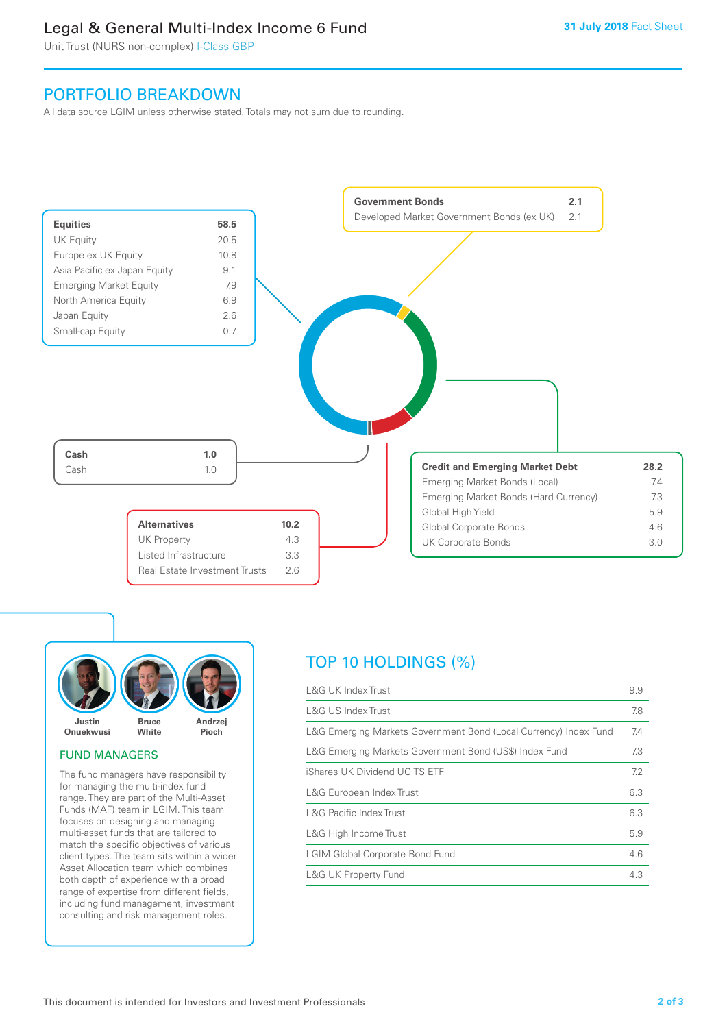### Legal & General Multi-Index Income 6 Fund

Unit Trust (NURS non-complex) I-Class GBP

### PORTFOLIO BREAKDOWN

All data source LGIM unless otherwise stated. Totals may not sum due to rounding.





#### FUND MANAGERS

The fund managers have responsibility for managing the multi-index fund range. They are part of the Multi-Asset Funds (MAF) team in LGIM. This team focuses on designing and managing multi-asset funds that are tailored to match the specific objectives of various client types. The team sits within a wider Asset Allocation team which combines both depth of experience with a broad range of expertise from different fields, including fund management, investment consulting and risk management roles.

## TOP 10 HOLDINGS (%)

| <b>L&amp;G UK Index Trust</b>                                    | 9.9 |
|------------------------------------------------------------------|-----|
| <b>L&amp;G US Index Trust</b>                                    | 7.8 |
| L&G Emerging Markets Government Bond (Local Currency) Index Fund | 7.4 |
| L&G Emerging Markets Government Bond (US\$) Index Fund           | 7.3 |
| iShares UK Dividend UCITS ETF                                    | 7.2 |
| L&G European Index Trust                                         | 6.3 |
| <b>L&amp;G Pacific Index Trust</b>                               | 6.3 |
| L&G High Income Trust                                            | 5.9 |
| <b>LGIM Global Corporate Bond Fund</b>                           | 4.6 |
| <b>L&amp;G UK Property Fund</b>                                  | 4.3 |